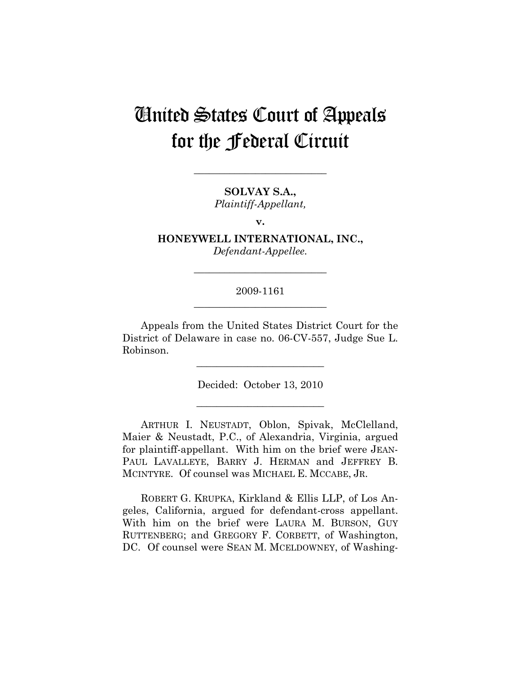# United States Court of Appeals for the Federal Circuit

**SOLVAY S.A.,**  *Plaintiff-Appellant,* 

**\_\_\_\_\_\_\_\_\_\_\_\_\_\_\_\_\_\_\_\_\_\_\_\_\_\_** 

**v.** 

**HONEYWELL INTERNATIONAL, INC.,**  *Defendant-Appellee.* 

**\_\_\_\_\_\_\_\_\_\_\_\_\_\_\_\_\_\_\_\_\_\_\_\_\_\_** 

# 2009-1161 **\_\_\_\_\_\_\_\_\_\_\_\_\_\_\_\_\_\_\_\_\_\_\_\_\_\_**

Appeals from the United States District Court for the District of Delaware in case no. 06-CV-557, Judge Sue L. Robinson.

Decided: October 13, 2010

**\_\_\_\_\_\_\_\_\_\_\_\_\_\_\_\_\_\_\_\_\_\_\_\_\_** 

**\_\_\_\_\_\_\_\_\_\_\_\_\_\_\_\_\_\_\_\_\_\_\_\_\_** 

ARTHUR I. NEUSTADT, Oblon, Spivak, McClelland, Maier & Neustadt, P.C., of Alexandria, Virginia, argued for plaintiff-appellant. With him on the brief were JEAN-PAUL LAVALLEYE, BARRY J. HERMAN and JEFFREY B. MCINTYRE. Of counsel was MICHAEL E. MCCABE, JR.

ROBERT G. KRUPKA, Kirkland & Ellis LLP, of Los Angeles, California, argued for defendant-cross appellant. With him on the brief were LAURA M. BURSON, GUY RUTTENBERG; and GREGORY F. CORBETT, of Washington, DC. Of counsel were SEAN M. MCELDOWNEY, of Washing-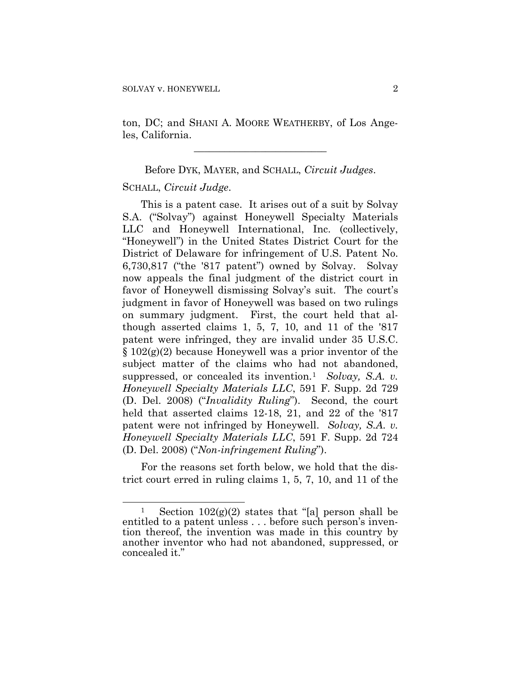ton, DC; and SHANI A. MOORE WEATHERBY, of Los Angeles, California.

**\_\_\_\_\_\_\_\_\_\_\_\_\_\_\_\_\_\_\_\_\_\_\_\_\_\_** 

Before DYK, MAYER, and SCHALL, *Circuit Judges*.

#### SCHALL, *Circuit Judge*.

 $\overline{a}$ 

This is a patent case. It arises out of a suit by Solvay S.A. ("Solvay") against Honeywell Specialty Materials LLC and Honeywell International, Inc. (collectively, "Honeywell") in the United States District Court for the District of Delaware for infringement of U.S. Patent No. 6,730,817 ("the '817 patent") owned by Solvay. Solvay now appeals the final judgment of the district court in favor of Honeywell dismissing Solvay's suit. The court's judgment in favor of Honeywell was based on two rulings on summary judgment. First, the court held that although asserted claims 1, 5, 7, 10, and 11 of the '817 patent were infringed, they are invalid under 35 U.S.C. § 102(g)(2) because Honeywell was a prior inventor of the subject matter of the claims who had not abandoned, suppressed, or concealed its invention.<sup>[1](#page-1-0)</sup> *Solvay*, *S.A. v. Honeywell Specialty Materials LLC*, 591 F. Supp. 2d 729 (D. Del. 2008) ("*Invalidity Ruling*"). Second, the court held that asserted claims 12-18, 21, and 22 of the '817 patent were not infringed by Honeywell. *Solvay, S.A. v. Honeywell Specialty Materials LLC*, 591 F. Supp. 2d 724 (D. Del. 2008) ("*Non-infringement Ruling*").

For the reasons set forth below, we hold that the district court erred in ruling claims 1, 5, 7, 10, and 11 of the

<span id="page-1-0"></span><sup>&</sup>lt;sup>1</sup> Section  $102(g)(2)$  states that "[a] person shall be entitled to a patent unless . . . before such person's invention thereof, the invention was made in this country by another inventor who had not abandoned, suppressed, or concealed it."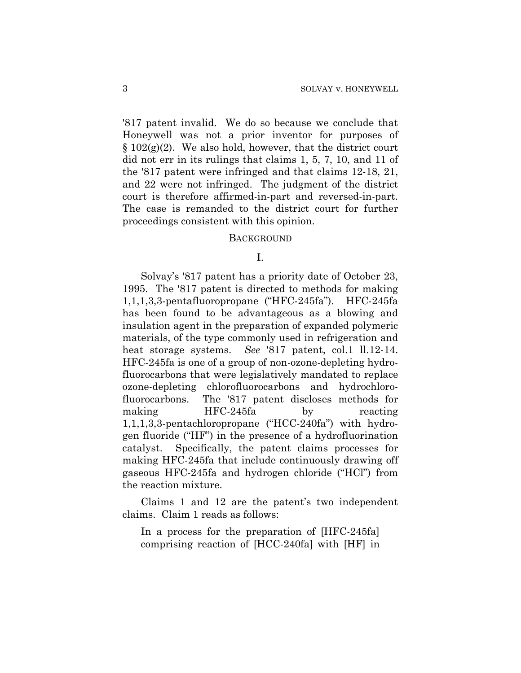'817 patent invalid. We do so because we conclude that Honeywell was not a prior inventor for purposes of  $\S 102(g)(2)$ . We also hold, however, that the district court did not err in its rulings that claims 1, 5, 7, 10, and 11 of the '817 patent were infringed and that claims 12-18, 21, and 22 were not infringed. The judgment of the district court is therefore affirmed-in-part and reversed-in-part. The case is remanded to the district court for further proceedings consistent with this opinion.

#### **BACKGROUND**

I.

Solvay's '817 patent has a priority date of October 23, 1995. The '817 patent is directed to methods for making 1,1,1,3,3-pentafluoropropane ("HFC-245fa"). HFC-245fa has been found to be advantageous as a blowing and insulation agent in the preparation of expanded polymeric materials, of the type commonly used in refrigeration and heat storage systems. *See* '817 patent, col.1 ll.12-14. HFC-245fa is one of a group of non-ozone-depleting hydrofluorocarbons that were legislatively mandated to replace ozone-depleting chlorofluorocarbons and hydrochlorofluorocarbons. The '817 patent discloses methods for making HFC-245fa by reacting 1,1,1,3,3-pentachloropropane ("HCC-240fa") with hydrogen fluoride ("HF") in the presence of a hydrofluorination catalyst. Specifically, the patent claims processes for making HFC-245fa that include continuously drawing off gaseous HFC-245fa and hydrogen chloride ("HCl") from the reaction mixture.

Claims 1 and 12 are the patent's two independent claims. Claim 1 reads as follows:

In a process for the preparation of [HFC-245fa] comprising reaction of [HCC-240fa] with [HF] in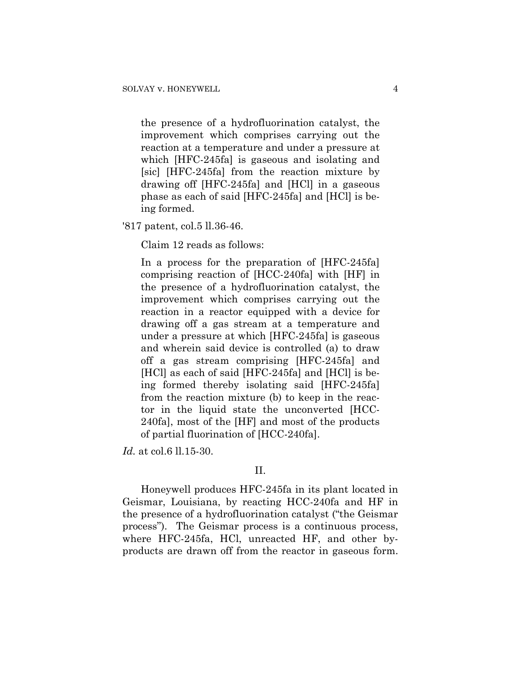the presence of a hydrofluorination catalyst, the improvement which comprises carrying out the reaction at a temperature and under a pressure at which [HFC-245fa] is gaseous and isolating and [sic] [HFC-245fa] from the reaction mixture by drawing off [HFC-245fa] and [HCl] in a gaseous phase as each of said [HFC-245fa] and [HCl] is being formed.

'817 patent, col.5 ll.36-46.

Claim 12 reads as follows:

In a process for the preparation of [HFC-245fa] comprising reaction of [HCC-240fa] with [HF] in the presence of a hydrofluorination catalyst, the improvement which comprises carrying out the reaction in a reactor equipped with a device for drawing off a gas stream at a temperature and under a pressure at which [HFC-245fa] is gaseous and wherein said device is controlled (a) to draw off a gas stream comprising [HFC-245fa] and [HCl] as each of said [HFC-245fa] and [HCl] is being formed thereby isolating said [HFC-245fa] from the reaction mixture (b) to keep in the reactor in the liquid state the unconverted [HCC-240fa], most of the [HF] and most of the products of partial fluorination of [HCC-240fa].

*Id.* at col.6 ll.15-30.

#### II.

Honeywell produces HFC-245fa in its plant located in Geismar, Louisiana, by reacting HCC-240fa and HF in the presence of a hydrofluorination catalyst ("the Geismar process"). The Geismar process is a continuous process, where HFC-245fa, HCl, unreacted HF, and other byproducts are drawn off from the reactor in gaseous form.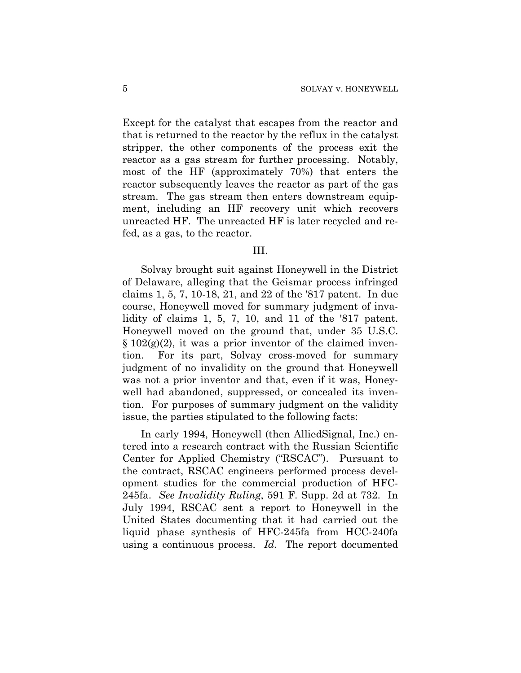Except for the catalyst that escapes from the reactor and that is returned to the reactor by the reflux in the catalyst stripper, the other components of the process exit the reactor as a gas stream for further processing. Notably, most of the HF (approximately 70%) that enters the reactor subsequently leaves the reactor as part of the gas stream. The gas stream then enters downstream equipment, including an HF recovery unit which recovers unreacted HF. The unreacted HF is later recycled and refed, as a gas, to the reactor.

#### III.

Solvay brought suit against Honeywell in the District of Delaware, alleging that the Geismar process infringed claims 1, 5, 7, 10-18, 21, and 22 of the '817 patent. In due course, Honeywell moved for summary judgment of invalidity of claims 1, 5, 7, 10, and 11 of the '817 patent. Honeywell moved on the ground that, under 35 U.S.C.  $\S 102(g)(2)$ , it was a prior inventor of the claimed invention. For its part, Solvay cross-moved for summary judgment of no invalidity on the ground that Honeywell was not a prior inventor and that, even if it was, Honeywell had abandoned, suppressed, or concealed its invention. For purposes of summary judgment on the validity issue, the parties stipulated to the following facts:

In early 1994, Honeywell (then AlliedSignal, Inc.) entered into a research contract with the Russian Scientific Center for Applied Chemistry ("RSCAC"). Pursuant to the contract, RSCAC engineers performed process development studies for the commercial production of HFC-245fa. *See Invalidity Ruling*, 591 F. Supp. 2d at 732. In July 1994, RSCAC sent a report to Honeywell in the United States documenting that it had carried out the liquid phase synthesis of HFC-245fa from HCC-240fa using a continuous process. *Id.* The report documented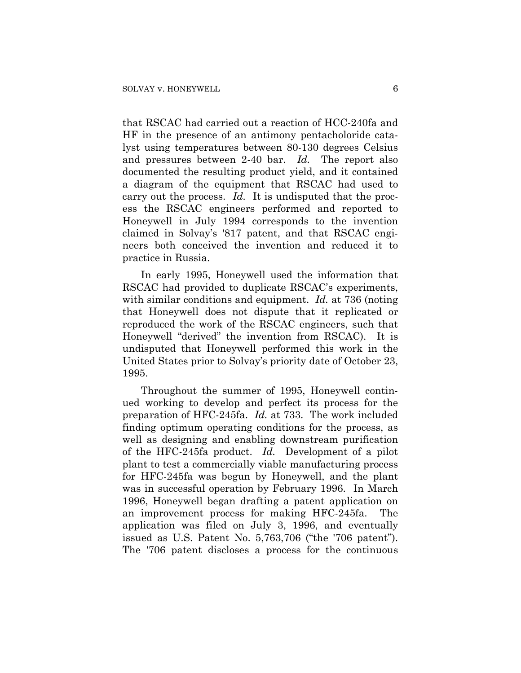that RSCAC had carried out a reaction of HCC-240fa and HF in the presence of an antimony pentacholoride catalyst using temperatures between 80-130 degrees Celsius and pressures between 2-40 bar. *Id.* The report also documented the resulting product yield, and it contained a diagram of the equipment that RSCAC had used to carry out the process. *Id.* It is undisputed that the process the RSCAC engineers performed and reported to Honeywell in July 1994 corresponds to the invention claimed in Solvay's '817 patent, and that RSCAC engineers both conceived the invention and reduced it to practice in Russia.

In early 1995, Honeywell used the information that RSCAC had provided to duplicate RSCAC's experiments, with similar conditions and equipment. *Id.* at 736 (noting that Honeywell does not dispute that it replicated or reproduced the work of the RSCAC engineers, such that Honeywell "derived" the invention from RSCAC). It is undisputed that Honeywell performed this work in the United States prior to Solvay's priority date of October 23, 1995.

Throughout the summer of 1995, Honeywell continued working to develop and perfect its process for the preparation of HFC-245fa. *Id.* at 733. The work included finding optimum operating conditions for the process, as well as designing and enabling downstream purification of the HFC-245fa product. *Id.* Development of a pilot plant to test a commercially viable manufacturing process for HFC-245fa was begun by Honeywell, and the plant was in successful operation by February 1996. In March 1996, Honeywell began drafting a patent application on an improvement process for making HFC-245fa. The application was filed on July 3, 1996, and eventually issued as U.S. Patent No. 5,763,706 ("the '706 patent"). The '706 patent discloses a process for the continuous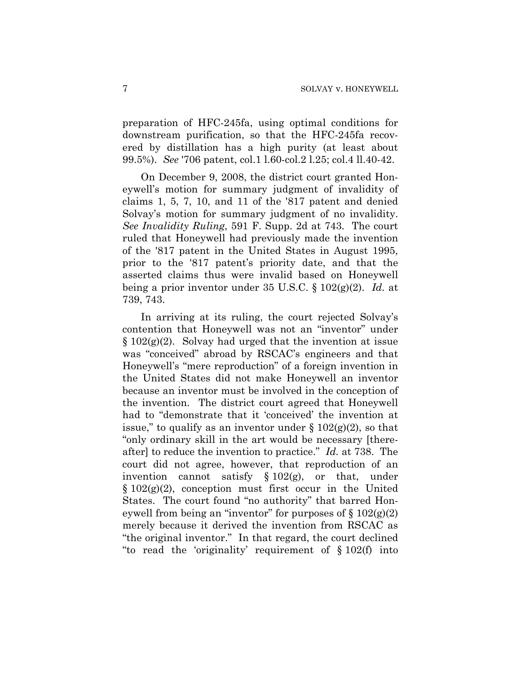preparation of HFC-245fa, using optimal conditions for downstream purification, so that the HFC-245fa recovered by distillation has a high purity (at least about 99.5%). *See* '706 patent, col.1 l.60-col.2 l.25; col.4 ll.40-42.

On December 9, 2008, the district court granted Honeywell's motion for summary judgment of invalidity of claims 1, 5, 7, 10, and 11 of the '817 patent and denied Solvay's motion for summary judgment of no invalidity. *See Invalidity Ruling*, 591 F. Supp. 2d at 743. The court ruled that Honeywell had previously made the invention of the '817 patent in the United States in August 1995, prior to the '817 patent's priority date, and that the asserted claims thus were invalid based on Honeywell being a prior inventor under 35 U.S.C. § 102(g)(2). *Id.* at 739, 743.

In arriving at its ruling, the court rejected Solvay's contention that Honeywell was not an "inventor" under  $§ 102(g)(2)$ . Solvay had urged that the invention at issue was "conceived" abroad by RSCAC's engineers and that Honeywell's "mere reproduction" of a foreign invention in the United States did not make Honeywell an inventor because an inventor must be involved in the conception of the invention. The district court agreed that Honeywell had to "demonstrate that it 'conceived' the invention at issue," to qualify as an inventor under  $\S 102(g)(2)$ , so that "only ordinary skill in the art would be necessary [thereafter] to reduce the invention to practice." *Id.* at 738. The court did not agree, however, that reproduction of an invention cannot satisfy § 102(g), or that, under  $\S 102(g)(2)$ , conception must first occur in the United States. The court found "no authority" that barred Honeywell from being an "inventor" for purposes of  $\S 102(g)(2)$ merely because it derived the invention from RSCAC as "the original inventor." In that regard, the court declined "to read the 'originality' requirement of § 102(f) into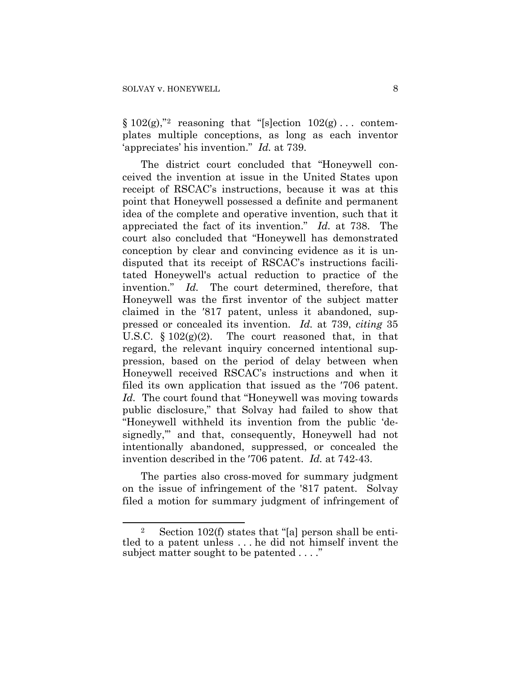1

 $§ 102(g),$  $§ 102(g),$  $§ 102(g),$ " reasoning that "[s]ection  $102(g) \ldots$  contemplates multiple conceptions, as long as each inventor 'appreciates' his invention." *Id.* at 739.

The district court concluded that "Honeywell conceived the invention at issue in the United States upon receipt of RSCAC's instructions, because it was at this point that Honeywell possessed a definite and permanent idea of the complete and operative invention, such that it appreciated the fact of its invention." *Id.* at 738. The court also concluded that "Honeywell has demonstrated conception by clear and convincing evidence as it is undisputed that its receipt of RSCAC's instructions facilitated Honeywell's actual reduction to practice of the invention." *Id.* The court determined, therefore, that Honeywell was the first inventor of the subject matter claimed in the ′817 patent, unless it abandoned, suppressed or concealed its invention. *Id.* at 739, *citing* 35 U.S.C.  $\S 102(g)(2)$ . The court reasoned that, in that regard, the relevant inquiry concerned intentional suppression, based on the period of delay between when Honeywell received RSCAC's instructions and when it filed its own application that issued as the ′706 patent. *Id.* The court found that "Honeywell was moving towards public disclosure," that Solvay had failed to show that "Honeywell withheld its invention from the public 'designedly,'" and that, consequently, Honeywell had not intentionally abandoned, suppressed, or concealed the invention described in the ′706 patent. *Id.* at 742-43.

The parties also cross-moved for summary judgment on the issue of infringement of the '817 patent. Solvay filed a motion for summary judgment of infringement of

<span id="page-7-0"></span><sup>2</sup> Section 102(f) states that "[a] person shall be entitled to a patent unless . . . he did not himself invent the subject matter sought to be patented . . . ."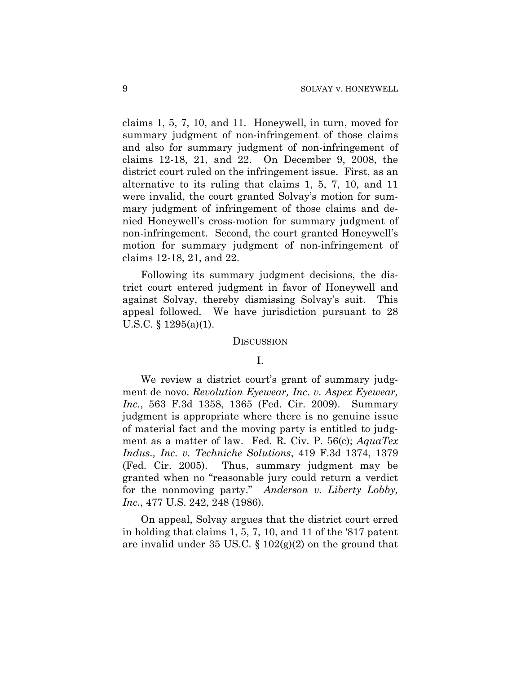claims 1, 5, 7, 10, and 11. Honeywell, in turn, moved for summary judgment of non-infringement of those claims and also for summary judgment of non-infringement of claims 12-18, 21, and 22. On December 9, 2008, the district court ruled on the infringement issue. First, as an alternative to its ruling that claims 1, 5, 7, 10, and 11 were invalid, the court granted Solvay's motion for summary judgment of infringement of those claims and denied Honeywell's cross-motion for summary judgment of non-infringement. Second, the court granted Honeywell's motion for summary judgment of non-infringement of claims 12-18, 21, and 22.

Following its summary judgment decisions, the district court entered judgment in favor of Honeywell and against Solvay, thereby dismissing Solvay's suit. This appeal followed. We have jurisdiction pursuant to 28 U.S.C. § 1295(a)(1).

#### **DISCUSSION**

#### I.

We review a district court's grant of summary judgment de novo. *Revolution Eyewear, Inc. v. Aspex Eyewear, Inc.*, 563 F.3d 1358, 1365 (Fed. Cir. 2009). Summary judgment is appropriate where there is no genuine issue of material fact and the moving party is entitled to judgment as a matter of law. Fed. R. Civ. P. 56(c); *AquaTex Indus., Inc. v. Techniche Solutions*, 419 F.3d 1374, 1379 (Fed. Cir. 2005). Thus, summary judgment may be granted when no "reasonable jury could return a verdict for the nonmoving party." *Anderson v. Liberty Lobby, Inc.*, 477 U.S. 242, 248 (1986).

On appeal, Solvay argues that the district court erred in holding that claims 1, 5, 7, 10, and 11 of the '817 patent are invalid under 35 US.C.  $\S 102(g)(2)$  on the ground that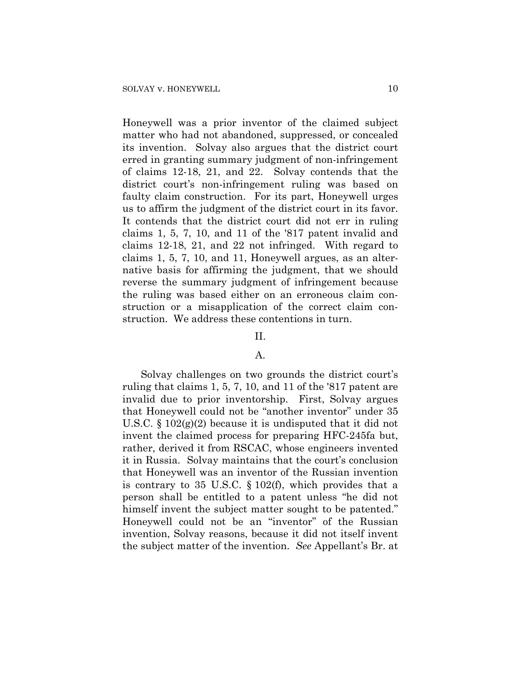Honeywell was a prior inventor of the claimed subject matter who had not abandoned, suppressed, or concealed its invention. Solvay also argues that the district court erred in granting summary judgment of non-infringement of claims 12-18, 21, and 22. Solvay contends that the district court's non-infringement ruling was based on faulty claim construction. For its part, Honeywell urges us to affirm the judgment of the district court in its favor. It contends that the district court did not err in ruling claims 1, 5, 7, 10, and 11 of the '817 patent invalid and claims 12-18, 21, and 22 not infringed. With regard to claims 1, 5, 7, 10, and 11, Honeywell argues, as an alternative basis for affirming the judgment, that we should reverse the summary judgment of infringement because the ruling was based either on an erroneous claim construction or a misapplication of the correct claim construction. We address these contentions in turn.

# II.

## A.

Solvay challenges on two grounds the district court's ruling that claims 1, 5, 7, 10, and 11 of the '817 patent are invalid due to prior inventorship. First, Solvay argues that Honeywell could not be "another inventor" under 35 U.S.C. § 102(g)(2) because it is undisputed that it did not invent the claimed process for preparing HFC-245fa but, rather, derived it from RSCAC, whose engineers invented it in Russia. Solvay maintains that the court's conclusion that Honeywell was an inventor of the Russian invention is contrary to 35 U.S.C. § 102(f), which provides that a person shall be entitled to a patent unless "he did not himself invent the subject matter sought to be patented." Honeywell could not be an "inventor" of the Russian invention, Solvay reasons, because it did not itself invent the subject matter of the invention. *See* Appellant's Br. at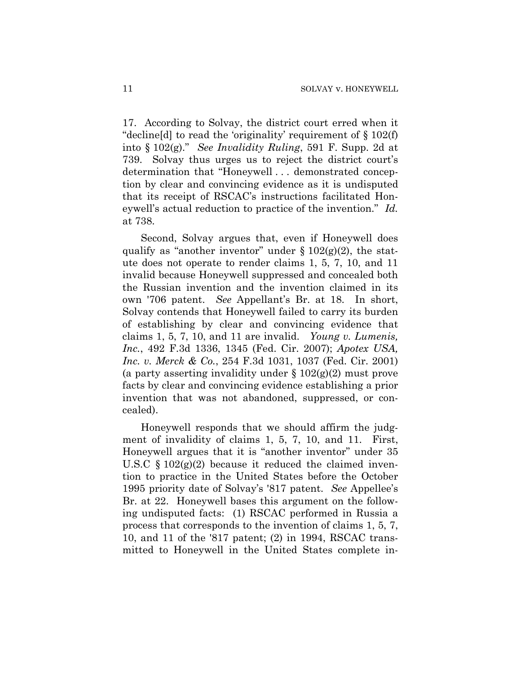17. According to Solvay, the district court erred when it "decline[d] to read the 'originality' requirement of § 102(f) into § 102(g)." *See Invalidity Ruling*, 591 F. Supp. 2d at 739. Solvay thus urges us to reject the district court's determination that "Honeywell . . . demonstrated conception by clear and convincing evidence as it is undisputed that its receipt of RSCAC's instructions facilitated Honeywell's actual reduction to practice of the invention." *Id.* at 738.

Second, Solvay argues that, even if Honeywell does qualify as "another inventor" under  $\S 102(g)(2)$ , the statute does not operate to render claims 1, 5, 7, 10, and 11 invalid because Honeywell suppressed and concealed both the Russian invention and the invention claimed in its own '706 patent. *See* Appellant's Br. at 18. In short, Solvay contends that Honeywell failed to carry its burden of establishing by clear and convincing evidence that claims 1, 5, 7, 10, and 11 are invalid. *Young v. Lumenis, Inc.*, 492 F.3d 1336, 1345 (Fed. Cir. 2007); *Apotex USA, Inc. v. Merck & Co.*, 254 F.3d 1031, 1037 (Fed. Cir. 2001) (a party asserting invalidity under  $\S 102(g)(2)$  must prove facts by clear and convincing evidence establishing a prior invention that was not abandoned, suppressed, or concealed).

Honeywell responds that we should affirm the judgment of invalidity of claims 1, 5, 7, 10, and 11. First, Honeywell argues that it is "another inventor" under 35 U.S.C  $\S 102(g)(2)$  because it reduced the claimed invention to practice in the United States before the October 1995 priority date of Solvay's '817 patent. *See* Appellee's Br. at 22. Honeywell bases this argument on the following undisputed facts: (1) RSCAC performed in Russia a process that corresponds to the invention of claims 1, 5, 7, 10, and 11 of the '817 patent; (2) in 1994, RSCAC transmitted to Honeywell in the United States complete in-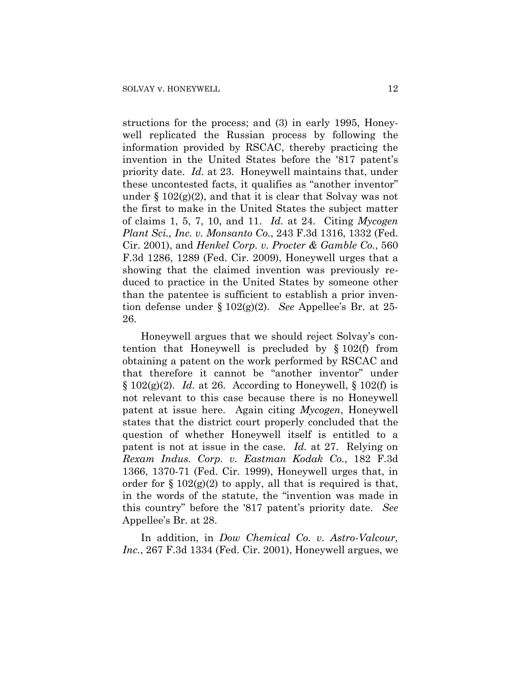structions for the process; and (3) in early 1995, Honeywell replicated the Russian process by following the information provided by RSCAC, thereby practicing the invention in the United States before the '817 patent's priority date. *Id.* at 23. Honeywell maintains that, under these uncontested facts, it qualifies as "another inventor" under  $\S 102(g)(2)$ , and that it is clear that Solvay was not the first to make in the United States the subject matter of claims 1, 5, 7, 10, and 11. *Id.* at 24. Citing *Mycogen Plant Sci., Inc. v. Monsanto Co.*, 243 F.3d 1316, 1332 (Fed. Cir. 2001), and *Henkel Corp. v. Procter & Gamble Co.*, 560 F.3d 1286, 1289 (Fed. Cir. 2009), Honeywell urges that a showing that the claimed invention was previously reduced to practice in the United States by someone other than the patentee is sufficient to establish a prior invention defense under § 102(g)(2). *See* Appellee's Br. at 25- 26.

Honeywell argues that we should reject Solvay's contention that Honeywell is precluded by § 102(f) from obtaining a patent on the work performed by RSCAC and that therefore it cannot be "another inventor" under  $\S 102(g)(2)$ . *Id.* at 26. According to Honeywell,  $\S 102(f)$  is not relevant to this case because there is no Honeywell patent at issue here. Again citing *Mycogen*, Honeywell states that the district court properly concluded that the question of whether Honeywell itself is entitled to a patent is not at issue in the case. *Id.* at 27. Relying on *Rexam Indus. Corp. v. Eastman Kodak Co.*, 182 F.3d 1366, 1370-71 (Fed. Cir. 1999), Honeywell urges that, in order for  $\S 102(g)(2)$  to apply, all that is required is that, in the words of the statute, the "invention was made in this country" before the '817 patent's priority date. *See* Appellee's Br. at 28.

In addition, in *Dow Chemical Co. v. Astro-Valcour, Inc.*, 267 F.3d 1334 (Fed. Cir. 2001), Honeywell argues, we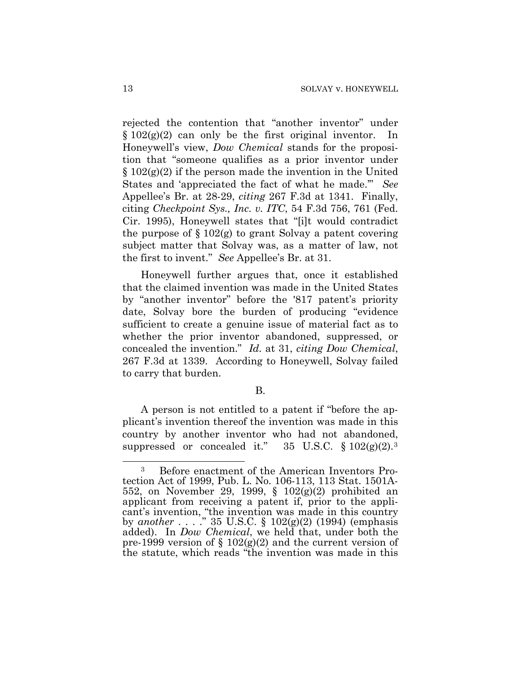rejected the contention that "another inventor" under  $§ 102(g)(2)$  can only be the first original inventor. In Honeywell's view, *Dow Chemical* stands for the proposition that "someone qualifies as a prior inventor under  $\S 102(g)(2)$  if the person made the invention in the United States and 'appreciated the fact of what he made.'" *See* Appellee's Br. at 28-29, *citing* 267 F.3d at 1341. Finally, citing *Checkpoint Sys., Inc. v. ITC*, 54 F.3d 756, 761 (Fed. Cir. 1995), Honeywell states that "[i]t would contradict the purpose of  $\S 102(g)$  to grant Solvay a patent covering subject matter that Solvay was, as a matter of law, not the first to invent." *See* Appellee's Br. at 31.

Honeywell further argues that, once it established that the claimed invention was made in the United States by "another inventor" before the '817 patent's priority date, Solvay bore the burden of producing "evidence sufficient to create a genuine issue of material fact as to whether the prior inventor abandoned, suppressed, or concealed the invention." *Id.* at 31, *citing Dow Chemical*, 267 F.3d at 1339. According to Honeywell, Solvay failed to carry that burden.

B.

A person is not entitled to a patent if "before the applicant's invention thereof the invention was made in this country by another inventor who had not abandoned, suppressed or concealed it."  $35 \text{ U.S.C. } \S 102(g)(2).3$  $35 \text{ U.S.C. } \S 102(g)(2).3$ 

<span id="page-12-0"></span> $\overline{a}$ 3 Before enactment of the American Inventors Protection Act of 1999, Pub. L. No. 106-113, 113 Stat. 1501A-552, on November 29, 1999, § 102(g)(2) prohibited an applicant from receiving a patent if, prior to the applicant's invention, "the invention was made in this country by *another* . . . ." 35 U.S.C. § 102(g)(2) (1994) (emphasis added). In *Dow Chemical*, we held that, under both the pre-1999 version of  $\S 102(g)(2)$  and the current version of the statute, which reads "the invention was made in this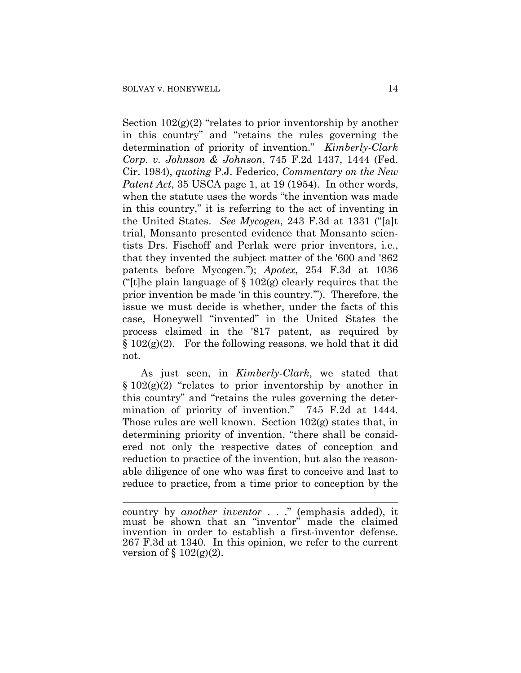$\overline{a}$ 

Section  $102(g)(2)$  "relates to prior inventorship by another in this country" and "retains the rules governing the determination of priority of invention." *Kimberly-Clark Corp. v. Johnson & Johnson*, 745 F.2d 1437, 1444 (Fed. Cir. 1984), *quoting* P.J. Federico, *Commentary on the New Patent Act*, 35 USCA page 1, at 19 (1954). In other words, when the statute uses the words "the invention was made in this country," it is referring to the act of inventing in the United States. *See Mycogen*, 243 F.3d at 1331 ("[a]t trial, Monsanto presented evidence that Monsanto scientists Drs. Fischoff and Perlak were prior inventors, i.e., that they invented the subject matter of the '600 and '862 patents before Mycogen."); *Apotex*, 254 F.3d at 1036 ("[t]he plain language of  $\S 102(g)$  clearly requires that the prior invention be made 'in this country.'"). Therefore, the issue we must decide is whether, under the facts of this case, Honeywell "invented" in the United States the process claimed in the '817 patent, as required by  $§ 102(g)(2)$ . For the following reasons, we hold that it did not.

As just seen, in *Kimberly-Clark*, we stated that  $\S 102(g)(2)$  "relates to prior inventorship by another in this country" and "retains the rules governing the determination of priority of invention." 745 F.2d at 1444. Those rules are well known. Section 102(g) states that, in determining priority of invention, "there shall be considered not only the respective dates of conception and reduction to practice of the invention, but also the reasonable diligence of one who was first to conceive and last to reduce to practice, from a time prior to conception by the

country by *another inventor* . . ." (emphasis added), it must be shown that an "inventor" made the claimed invention in order to establish a first-inventor defense. 267 F.3d at 1340. In this opinion, we refer to the current version of  $\S 102(g)(2)$ .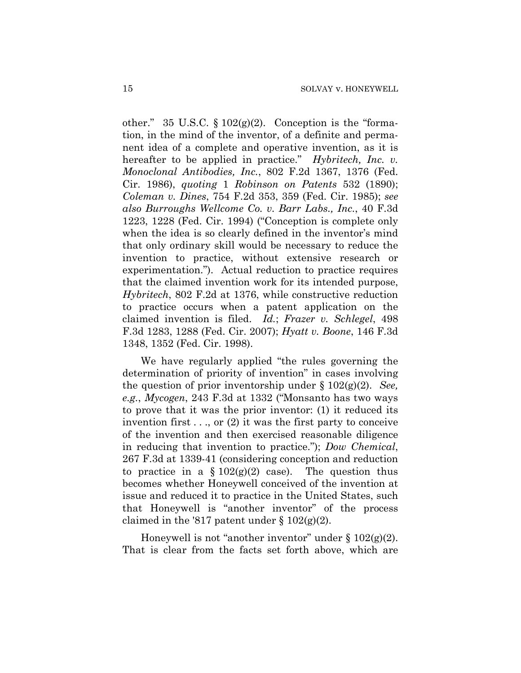other." 35 U.S.C.  $\S 102(g)(2)$ . Conception is the "formation, in the mind of the inventor, of a definite and permanent idea of a complete and operative invention, as it is hereafter to be applied in practice." *Hybritech, Inc. v. Monoclonal Antibodies, Inc.*, 802 F.2d 1367, 1376 (Fed. Cir. 1986), *quoting* 1 *Robinson on Patents* 532 (1890); *Coleman v. Dines*, 754 F.2d 353, 359 (Fed. Cir. 1985); *see also Burroughs Wellcome Co. v. Barr Labs., Inc.*, 40 F.3d 1223, 1228 (Fed. Cir. 1994) ("Conception is complete only when the idea is so clearly defined in the inventor's mind that only ordinary skill would be necessary to reduce the invention to practice, without extensive research or experimentation."). Actual reduction to practice requires that the claimed invention work for its intended purpose, *Hybritech*, 802 F.2d at 1376, while constructive reduction to practice occurs when a patent application on the claimed invention is filed. *Id.*; *Frazer v. Schlegel*, 498 F.3d 1283, 1288 (Fed. Cir. 2007); *Hyatt v. Boone*, 146 F.3d 1348, 1352 (Fed. Cir. 1998).

We have regularly applied "the rules governing the determination of priority of invention" in cases involving the question of prior inventorship under § 102(g)(2). *See, e.g.*, *Mycogen*, 243 F.3d at 1332 ("Monsanto has two ways to prove that it was the prior inventor: (1) it reduced its invention first  $\dots$ , or (2) it was the first party to conceive of the invention and then exercised reasonable diligence in reducing that invention to practice."); *Dow Chemical*, 267 F.3d at 1339-41 (considering conception and reduction to practice in a  $\S 102(g)(2)$  case). The question thus becomes whether Honeywell conceived of the invention at issue and reduced it to practice in the United States, such that Honeywell is "another inventor" of the process claimed in the '817 patent under  $\S 102(g)(2)$ .

Honeywell is not "another inventor" under  $\S 102(g)(2)$ . That is clear from the facts set forth above, which are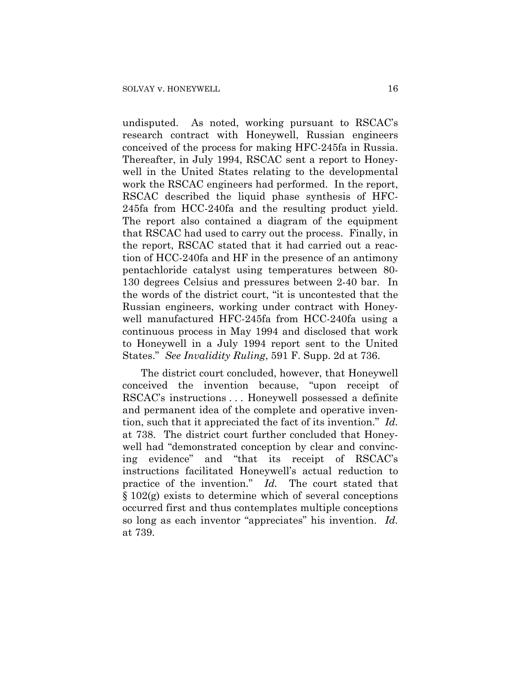undisputed. As noted, working pursuant to RSCAC's research contract with Honeywell, Russian engineers conceived of the process for making HFC-245fa in Russia. Thereafter, in July 1994, RSCAC sent a report to Honeywell in the United States relating to the developmental work the RSCAC engineers had performed. In the report, RSCAC described the liquid phase synthesis of HFC-245fa from HCC-240fa and the resulting product yield. The report also contained a diagram of the equipment that RSCAC had used to carry out the process. Finally, in the report, RSCAC stated that it had carried out a reaction of HCC-240fa and HF in the presence of an antimony pentachloride catalyst using temperatures between 80- 130 degrees Celsius and pressures between 2-40 bar. In the words of the district court, "it is uncontested that the Russian engineers, working under contract with Honeywell manufactured HFC-245fa from HCC-240fa using a continuous process in May 1994 and disclosed that work to Honeywell in a July 1994 report sent to the United States." *See Invalidity Ruling*, 591 F. Supp. 2d at 736.

The district court concluded, however, that Honeywell conceived the invention because, "upon receipt of RSCAC's instructions . . . Honeywell possessed a definite and permanent idea of the complete and operative invention, such that it appreciated the fact of its invention." *Id.* at 738. The district court further concluded that Honeywell had "demonstrated conception by clear and convincing evidence" and "that its receipt of RSCAC's instructions facilitated Honeywell's actual reduction to practice of the invention." *Id.* The court stated that § 102(g) exists to determine which of several conceptions occurred first and thus contemplates multiple conceptions so long as each inventor "appreciates" his invention. *Id.* at 739.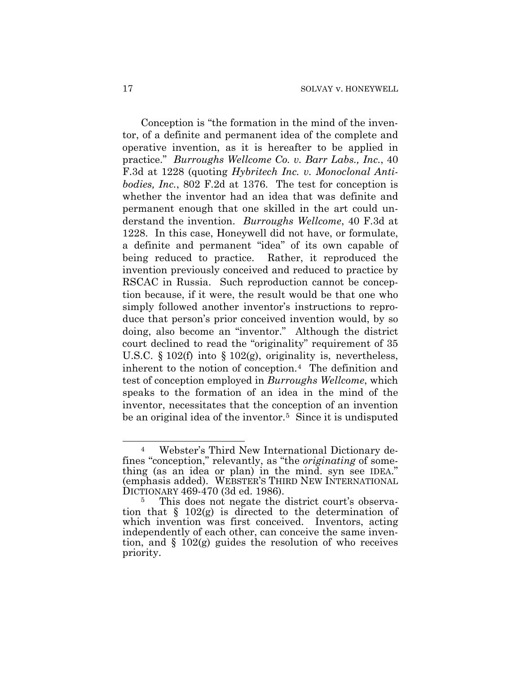Conception is "the formation in the mind of the inventor, of a definite and permanent idea of the complete and operative invention, as it is hereafter to be applied in practice." *Burroughs Wellcome Co. v. Barr Labs., Inc.*, 40 F.3d at 1228 (quoting *Hybritech Inc. v. Monoclonal Antibodies, Inc.*, 802 F.2d at 1376. The test for conception is whether the inventor had an idea that was definite and permanent enough that one skilled in the art could understand the invention. *Burroughs Wellcome*, 40 F.3d at 1228. In this case, Honeywell did not have, or formulate, a definite and permanent "idea" of its own capable of being reduced to practice. Rather, it reproduced the invention previously conceived and reduced to practice by RSCAC in Russia. Such reproduction cannot be conception because, if it were, the result would be that one who simply followed another inventor's instructions to reproduce that person's prior conceived invention would, by so doing, also become an "inventor." Although the district court declined to read the "originality" requirement of 35 U.S.C. § 102(f) into § 102(g), originality is, nevertheless, inherent to the notion of conception.[4](#page-16-0) The definition and test of conception employed in *Burroughs Wellcome*, which speaks to the formation of an idea in the mind of the inventor, necessitates that the conception of an invention be an original idea of the inventor.<sup>[5](#page-16-1)</sup> Since it is undisputed

<span id="page-16-0"></span> $\overline{a}$ Webster's Third New International Dictionary defines "conception," relevantly, as "the *originating* of something (as an idea or plan) in the mind. syn see IDEA." (emphasis added). WEBSTER'S THIRD NEW INTERNATIONAL DICTIONARY 469-470 (3d ed. 1986).<br><sup>5</sup> This does not negate the

<span id="page-16-1"></span>This does not negate the district court's observation that  $\S$  102(g) is directed to the determination of which invention was first conceived. Inventors, acting independently of each other, can conceive the same invention, and  $\S$  102(g) guides the resolution of who receives priority.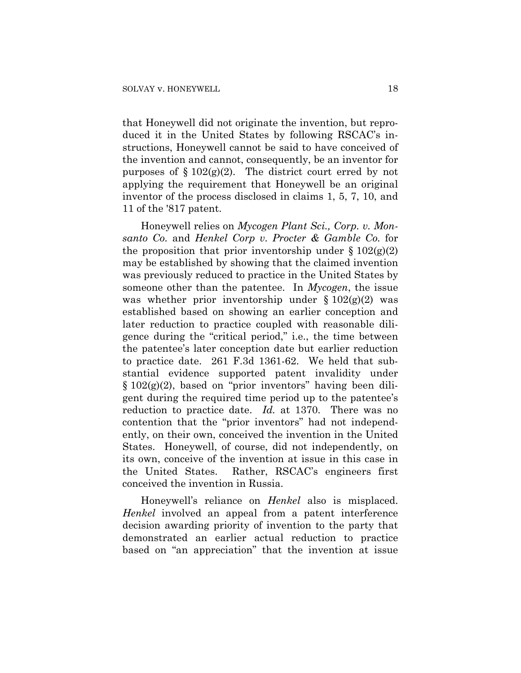that Honeywell did not originate the invention, but reproduced it in the United States by following RSCAC's instructions, Honeywell cannot be said to have conceived of the invention and cannot, consequently, be an inventor for purposes of  $\S 102(g)(2)$ . The district court erred by not applying the requirement that Honeywell be an original inventor of the process disclosed in claims 1, 5, 7, 10, and 11 of the '817 patent.

Honeywell relies on *Mycogen Plant Sci., Corp. v. Monsanto Co.* and *Henkel Corp v. Procter & Gamble Co.* for the proposition that prior inventorship under  $\S 102(g)(2)$ may be established by showing that the claimed invention was previously reduced to practice in the United States by someone other than the patentee. In *Mycogen*, the issue was whether prior inventorship under  $\S 102(g)(2)$  was established based on showing an earlier conception and later reduction to practice coupled with reasonable diligence during the "critical period," i.e., the time between the patentee's later conception date but earlier reduction to practice date. 261 F.3d 1361-62. We held that substantial evidence supported patent invalidity under  $§ 102(g)(2)$ , based on "prior inventors" having been diligent during the required time period up to the patentee's reduction to practice date. *Id.* at 1370. There was no contention that the "prior inventors" had not independently, on their own, conceived the invention in the United States. Honeywell, of course, did not independently, on its own, conceive of the invention at issue in this case in the United States. Rather, RSCAC's engineers first conceived the invention in Russia.

Honeywell's reliance on *Henkel* also is misplaced. *Henkel* involved an appeal from a patent interference decision awarding priority of invention to the party that demonstrated an earlier actual reduction to practice based on "an appreciation" that the invention at issue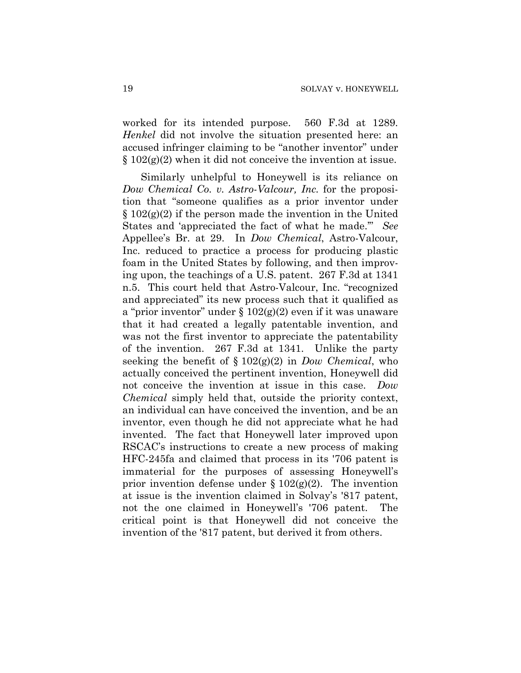worked for its intended purpose. 560 F.3d at 1289. *Henkel* did not involve the situation presented here: an accused infringer claiming to be "another inventor" under  $\S 102(g)(2)$  when it did not conceive the invention at issue.

Similarly unhelpful to Honeywell is its reliance on *Dow Chemical Co. v. Astro-Valcour, Inc.* for the proposition that "someone qualifies as a prior inventor under  $\S 102(g)(2)$  if the person made the invention in the United States and 'appreciated the fact of what he made.'" *See* Appellee's Br. at 29. In *Dow Chemical*, Astro-Valcour, Inc. reduced to practice a process for producing plastic foam in the United States by following, and then improving upon, the teachings of a U.S. patent. 267 F.3d at 1341 n.5. This court held that Astro-Valcour, Inc. "recognized and appreciated" its new process such that it qualified as a "prior inventor" under  $\S 102(g)(2)$  even if it was unaware that it had created a legally patentable invention, and was not the first inventor to appreciate the patentability of the invention. 267 F.3d at 1341.Unlike the party seeking the benefit of § 102(g)(2) in *Dow Chemical*, who actually conceived the pertinent invention, Honeywell did not conceive the invention at issue in this case. *Dow Chemical* simply held that, outside the priority context, an individual can have conceived the invention, and be an inventor, even though he did not appreciate what he had invented. The fact that Honeywell later improved upon RSCAC's instructions to create a new process of making HFC-245fa and claimed that process in its '706 patent is immaterial for the purposes of assessing Honeywell's prior invention defense under  $\S 102(g)(2)$ . The invention at issue is the invention claimed in Solvay's '817 patent, not the one claimed in Honeywell's '706 patent. The critical point is that Honeywell did not conceive the invention of the '817 patent, but derived it from others.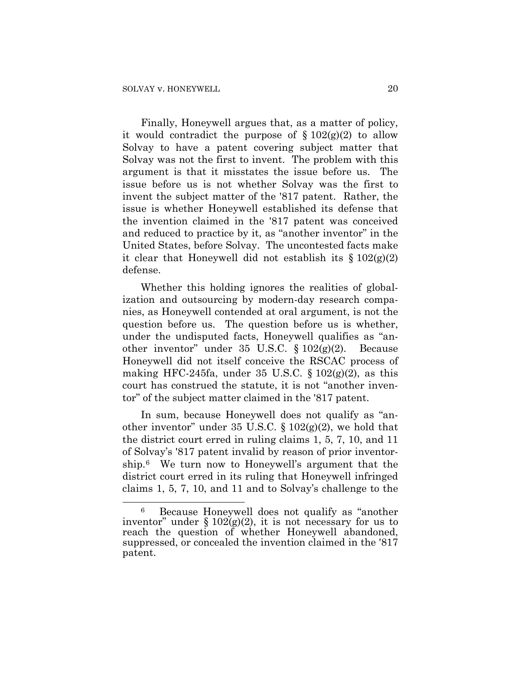$\overline{a}$ 

Finally, Honeywell argues that, as a matter of policy, it would contradict the purpose of  $\S 102(g)(2)$  to allow Solvay to have a patent covering subject matter that Solvay was not the first to invent. The problem with this argument is that it misstates the issue before us. The issue before us is not whether Solvay was the first to invent the subject matter of the '817 patent. Rather, the issue is whether Honeywell established its defense that the invention claimed in the '817 patent was conceived and reduced to practice by it, as "another inventor" in the United States, before Solvay. The uncontested facts make it clear that Honeywell did not establish its  $\S 102(g)(2)$ defense.

Whether this holding ignores the realities of globalization and outsourcing by modern-day research companies, as Honeywell contended at oral argument, is not the question before us. The question before us is whether, under the undisputed facts, Honeywell qualifies as "another inventor" under 35 U.S.C. § 102(g)(2). Because Honeywell did not itself conceive the RSCAC process of making HFC-245fa, under 35 U.S.C.  $\S 102(g)(2)$ , as this court has construed the statute, it is not "another inventor" of the subject matter claimed in the '817 patent.

In sum, because Honeywell does not qualify as "another inventor" under 35 U.S.C.  $\S 102(g)(2)$ , we hold that the district court erred in ruling claims 1, 5, 7, 10, and 11 of Solvay's '817 patent invalid by reason of prior inventorship.[6](#page-19-0) We turn now to Honeywell's argument that the district court erred in its ruling that Honeywell infringed claims 1, 5, 7, 10, and 11 and to Solvay's challenge to the

<span id="page-19-0"></span><sup>6</sup> Because Honeywell does not qualify as "another inventor" under  $\S 102(g)(2)$ , it is not necessary for us to reach the question of whether Honeywell abandoned, suppressed, or concealed the invention claimed in the '817 patent.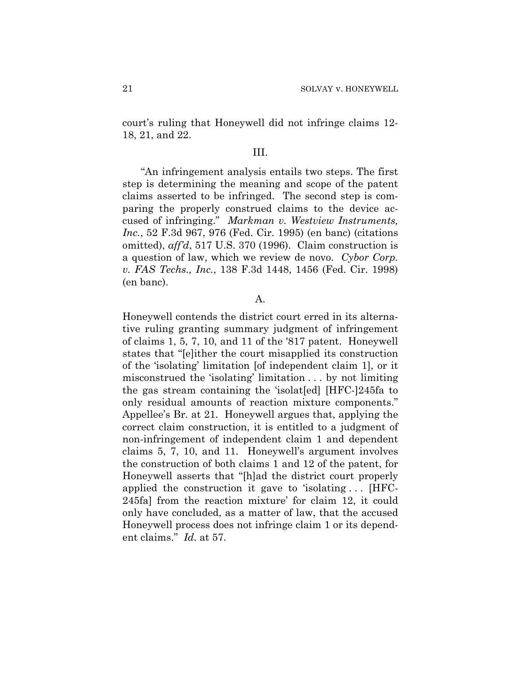court's ruling that Honeywell did not infringe claims 12- 18, 21, and 22.

#### III.

"An infringement analysis entails two steps. The first step is determining the meaning and scope of the patent claims asserted to be infringed. The second step is comparing the properly construed claims to the device accused of infringing." *Markman v. Westview Instruments, Inc.*, 52 F.3d 967, 976 (Fed. Cir. 1995) (en banc) (citations omitted), *aff'd*, 517 U.S. 370 (1996). Claim construction is a question of law, which we review de novo. *Cybor Corp. v. FAS Techs., Inc.*, 138 F.3d 1448, 1456 (Fed. Cir. 1998) (en banc).

A.

Honeywell contends the district court erred in its alternative ruling granting summary judgment of infringement of claims 1, 5, 7, 10, and 11 of the '817 patent. Honeywell states that "[e]ither the court misapplied its construction of the 'isolating' limitation [of independent claim 1], or it misconstrued the 'isolating' limitation . . . by not limiting the gas stream containing the 'isolat[ed] [HFC-]245fa to only residual amounts of reaction mixture components." Appellee's Br. at 21. Honeywell argues that, applying the correct claim construction, it is entitled to a judgment of non-infringement of independent claim 1 and dependent claims 5, 7, 10, and 11. Honeywell's argument involves the construction of both claims 1 and 12 of the patent, for Honeywell asserts that "[h]ad the district court properly applied the construction it gave to 'isolating . . . [HFC-245fa] from the reaction mixture' for claim 12, it could only have concluded, as a matter of law, that the accused Honeywell process does not infringe claim 1 or its dependent claims." *Id.* at 57.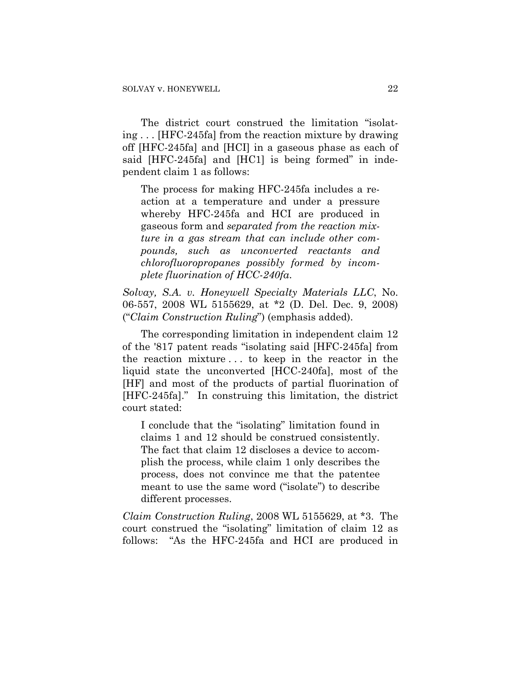The district court construed the limitation "isolating . . . [HFC-245fa] from the reaction mixture by drawing off [HFC-245fa] and [HCI] in a gaseous phase as each of said [HFC-245fa] and [HC1] is being formed" in independent claim 1 as follows:

The process for making HFC-245fa includes a reaction at a temperature and under a pressure whereby HFC-245fa and HCI are produced in gaseous form and *separated from the reaction mixture in a gas stream that can include other compounds, such as unconverted reactants and chlorofluoropropanes possibly formed by incomplete fluorination of HCC-240fa*.

*Solvay, S.A. v. Honeywell Specialty Materials LLC*, No. 06-557, 2008 WL 5155629, at \*2 (D. Del. Dec. 9, 2008) ("*Claim Construction Ruling*") (emphasis added).

The corresponding limitation in independent claim 12 of the '817 patent reads "isolating said [HFC-245fa] from the reaction mixture . . . to keep in the reactor in the liquid state the unconverted [HCC-240fa], most of the [HF] and most of the products of partial fluorination of [HFC-245fa]." In construing this limitation, the district court stated:

I conclude that the "isolating" limitation found in claims 1 and 12 should be construed consistently. The fact that claim 12 discloses a device to accomplish the process, while claim 1 only describes the process, does not convince me that the patentee meant to use the same word ("isolate") to describe different processes.

*Claim Construction Ruling*, 2008 WL 5155629, at \*3. The court construed the "isolating" limitation of claim 12 as follows: "As the HFC-245fa and HCI are produced in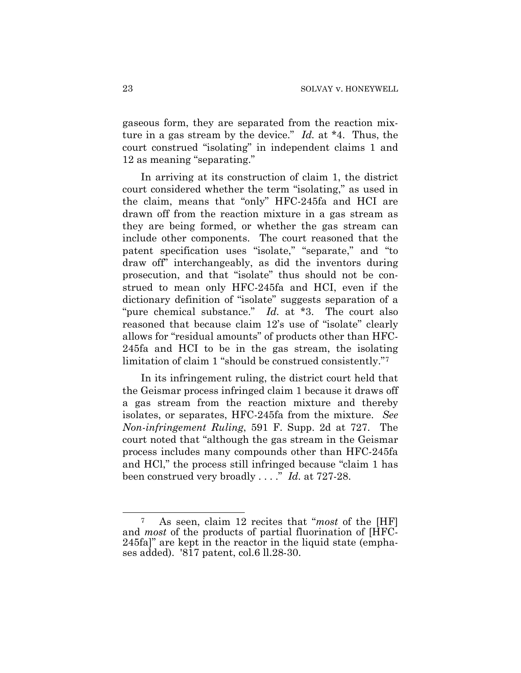gaseous form, they are separated from the reaction mixture in a gas stream by the device." *Id.* at \*4. Thus, the court construed "isolating" in independent claims 1 and 12 as meaning "separating."

In arriving at its construction of claim 1, the district court considered whether the term "isolating," as used in the claim, means that "only" HFC-245fa and HCI are drawn off from the reaction mixture in a gas stream as they are being formed, or whether the gas stream can include other components. The court reasoned that the patent specification uses "isolate," "separate," and "to draw off" interchangeably, as did the inventors during prosecution, and that "isolate" thus should not be construed to mean only HFC-245fa and HCI, even if the dictionary definition of "isolate" suggests separation of a "pure chemical substance." *Id.* at \*3. The court also reasoned that because claim 12's use of "isolate" clearly allows for "residual amounts" of products other than HFC-245fa and HCI to be in the gas stream, the isolating limitation of claim 1 "should be construed consistently."[7](#page-22-0)

In its infringement ruling, the district court held that the Geismar process infringed claim 1 because it draws off a gas stream from the reaction mixture and thereby isolates, or separates, HFC-245fa from the mixture. *See Non-infringement Ruling*, 591 F. Supp. 2d at 727. The court noted that "although the gas stream in the Geismar process includes many compounds other than HFC-245fa and HCl," the process still infringed because "claim 1 has been construed very broadly . . . ." *Id.* at 727-28.

<span id="page-22-0"></span> $\overline{a}$ 7 As seen, claim 12 recites that "*most* of the [HF] and *most* of the products of partial fluorination of [HFC-245fa]" are kept in the reactor in the liquid state (emphases added). '817 patent, col.6 ll.28-30.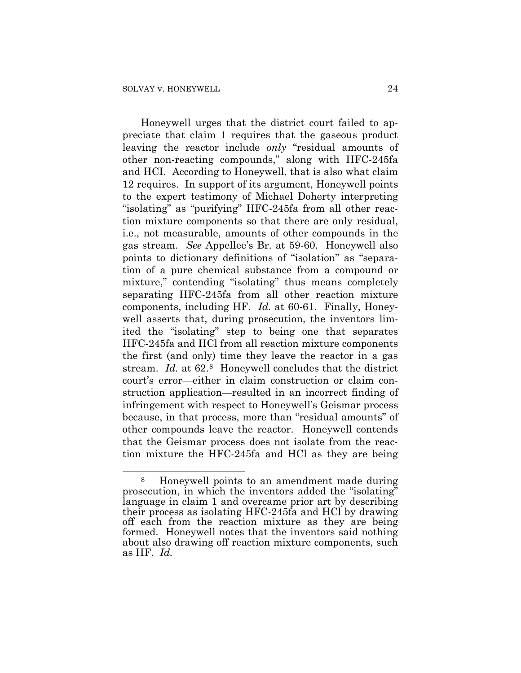$\overline{a}$ 

Honeywell urges that the district court failed to appreciate that claim 1 requires that the gaseous product leaving the reactor include *only* "residual amounts of other non-reacting compounds," along with HFC-245fa and HCI. According to Honeywell, that is also what claim 12 requires. In support of its argument, Honeywell points to the expert testimony of Michael Doherty interpreting "isolating" as "purifying" HFC-245fa from all other reaction mixture components so that there are only residual, i.e., not measurable, amounts of other compounds in the gas stream. *See* Appellee's Br. at 59-60. Honeywell also points to dictionary definitions of "isolation" as "separation of a pure chemical substance from a compound or mixture," contending "isolating" thus means completely separating HFC-245fa from all other reaction mixture components, including HF. *Id.* at 60-61. Finally, Honeywell asserts that, during prosecution, the inventors limited the "isolating" step to being one that separates HFC-245fa and HCl from all reaction mixture components the first (and only) time they leave the reactor in a gas stream. *Id.* at 62.[8](#page-23-0) Honeywell concludes that the district court's error—either in claim construction or claim construction application—resulted in an incorrect finding of infringement with respect to Honeywell's Geismar process because, in that process, more than "residual amounts" of other compounds leave the reactor. Honeywell contends that the Geismar process does not isolate from the reaction mixture the HFC-245fa and HCl as they are being

<span id="page-23-0"></span><sup>8</sup> Honeywell points to an amendment made during prosecution, in which the inventors added the "isolating" language in claim 1 and overcame prior art by describing their process as isolating HFC-245fa and HCl by drawing off each from the reaction mixture as they are being formed. Honeywell notes that the inventors said nothing about also drawing off reaction mixture components, such as HF. *Id.*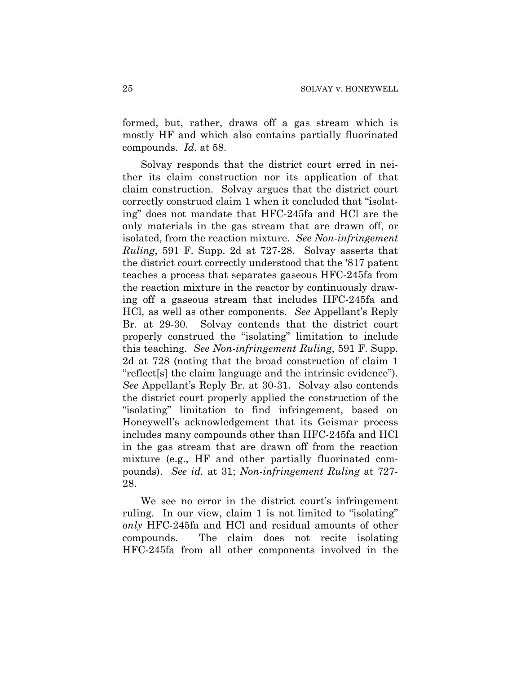formed, but, rather, draws off a gas stream which is mostly HF and which also contains partially fluorinated compounds. *Id.* at 58.

Solvay responds that the district court erred in neither its claim construction nor its application of that claim construction. Solvay argues that the district court correctly construed claim 1 when it concluded that "isolating" does not mandate that HFC-245fa and HCl are the only materials in the gas stream that are drawn off, or isolated, from the reaction mixture. *See Non-infringement Ruling*, 591 F. Supp. 2d at 727-28. Solvay asserts that the district court correctly understood that the '817 patent teaches a process that separates gaseous HFC-245fa from the reaction mixture in the reactor by continuously drawing off a gaseous stream that includes HFC-245fa and HCl, as well as other components. *See* Appellant's Reply Br. at 29-30. Solvay contends that the district court properly construed the "isolating" limitation to include this teaching. *See Non-infringement Ruling*, 591 F. Supp. 2d at 728 (noting that the broad construction of claim 1 "reflect[s] the claim language and the intrinsic evidence"). *See* Appellant's Reply Br. at 30-31. Solvay also contends the district court properly applied the construction of the "isolating" limitation to find infringement, based on Honeywell's acknowledgement that its Geismar process includes many compounds other than HFC-245fa and HCl in the gas stream that are drawn off from the reaction mixture (e.g., HF and other partially fluorinated compounds). *See id.* at 31; *Non-infringement Ruling* at 727- 28.

We see no error in the district court's infringement ruling. In our view, claim 1 is not limited to "isolating" *only* HFC-245fa and HCl and residual amounts of other compounds. The claim does not recite isolating HFC-245fa from all other components involved in the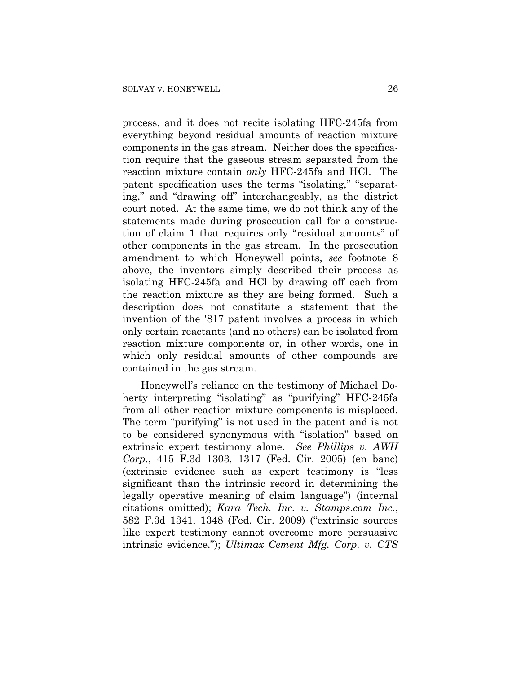process, and it does not recite isolating HFC-245fa from everything beyond residual amounts of reaction mixture components in the gas stream. Neither does the specification require that the gaseous stream separated from the reaction mixture contain *only* HFC-245fa and HCl. The patent specification uses the terms "isolating," "separating," and "drawing off" interchangeably, as the district court noted. At the same time, we do not think any of the statements made during prosecution call for a construction of claim 1 that requires only "residual amounts" of other components in the gas stream. In the prosecution amendment to which Honeywell points, *see* footnote 8 above, the inventors simply described their process as isolating HFC-245fa and HCl by drawing off each from the reaction mixture as they are being formed. Such a description does not constitute a statement that the invention of the '817 patent involves a process in which only certain reactants (and no others) can be isolated from reaction mixture components or, in other words, one in which only residual amounts of other compounds are contained in the gas stream.

Honeywell's reliance on the testimony of Michael Doherty interpreting "isolating" as "purifying" HFC-245fa from all other reaction mixture components is misplaced. The term "purifying" is not used in the patent and is not to be considered synonymous with "isolation" based on extrinsic expert testimony alone. *See Phillips v. AWH Corp.*, 415 F.3d 1303, 1317 (Fed. Cir. 2005) (en banc) (extrinsic evidence such as expert testimony is "less significant than the intrinsic record in determining the legally operative meaning of claim language") (internal citations omitted); *Kara Tech. Inc. v. Stamps.com Inc.*, 582 F.3d 1341, 1348 (Fed. Cir. 2009) ("extrinsic sources like expert testimony cannot overcome more persuasive intrinsic evidence."); *Ultimax Cement Mfg. Corp. v. CTS*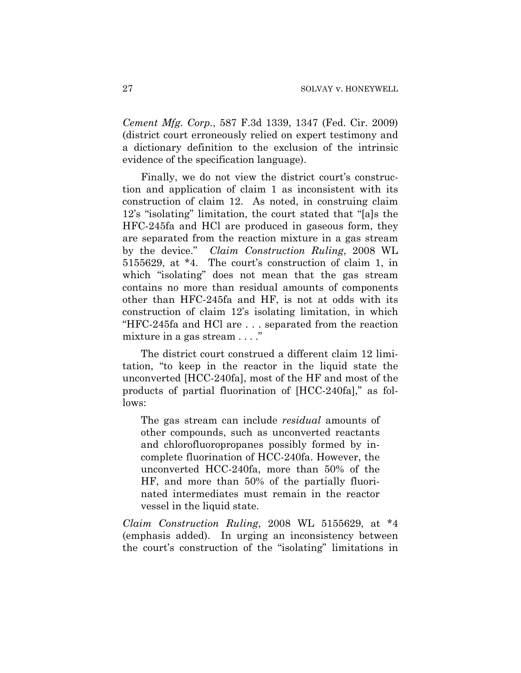*Cement Mfg. Corp.*, 587 F.3d 1339, 1347 (Fed. Cir. 2009) (district court erroneously relied on expert testimony and a dictionary definition to the exclusion of the intrinsic evidence of the specification language).

Finally, we do not view the district court's construction and application of claim 1 as inconsistent with its construction of claim 12. As noted, in construing claim 12's "isolating" limitation, the court stated that "[a]s the HFC-245fa and HCl are produced in gaseous form, they are separated from the reaction mixture in a gas stream by the device." *Claim Construction Ruling*, 2008 WL 5155629, at \*4. The court's construction of claim 1, in which "isolating" does not mean that the gas stream contains no more than residual amounts of components other than HFC-245fa and HF, is not at odds with its construction of claim 12's isolating limitation, in which "HFC-245fa and HCl are . . . separated from the reaction mixture in a gas stream . . . ."

The district court construed a different claim 12 limitation, "to keep in the reactor in the liquid state the unconverted [HCC-240fa], most of the HF and most of the products of partial fluorination of [HCC-240fa]," as follows:

The gas stream can include *residual* amounts of other compounds, such as unconverted reactants and chlorofluoropropanes possibly formed by incomplete fluorination of HCC-240fa. However, the unconverted HCC-240fa, more than 50% of the HF, and more than 50% of the partially fluorinated intermediates must remain in the reactor vessel in the liquid state.

*Claim Construction Ruling*, 2008 WL 5155629, at \*4 (emphasis added). In urging an inconsistency between the court's construction of the "isolating" limitations in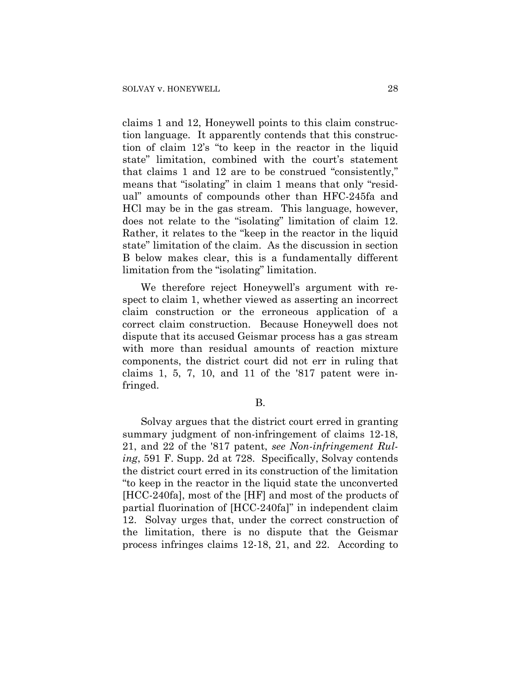claims 1 and 12, Honeywell points to this claim construction language. It apparently contends that this construction of claim 12's "to keep in the reactor in the liquid state" limitation, combined with the court's statement that claims 1 and 12 are to be construed "consistently," means that "isolating" in claim 1 means that only "residual" amounts of compounds other than HFC-245fa and HCl may be in the gas stream. This language, however, does not relate to the "isolating" limitation of claim 12. Rather, it relates to the "keep in the reactor in the liquid state" limitation of the claim. As the discussion in section B below makes clear, this is a fundamentally different limitation from the "isolating" limitation.

We therefore reject Honeywell's argument with respect to claim 1, whether viewed as asserting an incorrect claim construction or the erroneous application of a correct claim construction. Because Honeywell does not dispute that its accused Geismar process has a gas stream with more than residual amounts of reaction mixture components, the district court did not err in ruling that claims  $1, 5, 7, 10,$  and  $11$  of the '817 patent were infringed.

B.

Solvay argues that the district court erred in granting summary judgment of non-infringement of claims 12-18, 21, and 22 of the '817 patent, *see Non-infringement Ruling*, 591 F. Supp. 2d at 728. Specifically, Solvay contends the district court erred in its construction of the limitation "to keep in the reactor in the liquid state the unconverted [HCC-240fa], most of the [HF] and most of the products of partial fluorination of [HCC-240fa]" in independent claim 12. Solvay urges that, under the correct construction of the limitation, there is no dispute that the Geismar process infringes claims 12-18, 21, and 22. According to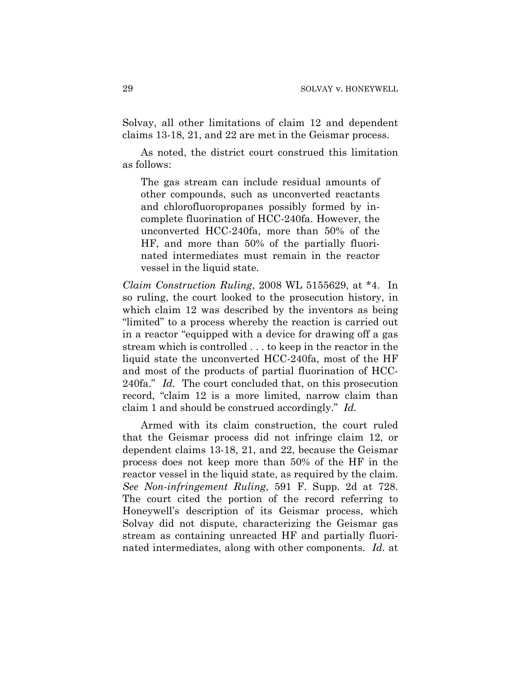Solvay, all other limitations of claim 12 and dependent claims 13-18, 21, and 22 are met in the Geismar process.

As noted, the district court construed this limitation as follows:

The gas stream can include residual amounts of other compounds, such as unconverted reactants and chlorofluoropropanes possibly formed by incomplete fluorination of HCC-240fa. However, the unconverted HCC-240fa, more than 50% of the HF, and more than 50% of the partially fluorinated intermediates must remain in the reactor vessel in the liquid state.

*Claim Construction Ruling*, 2008 WL 5155629, at \*4. In so ruling, the court looked to the prosecution history, in which claim 12 was described by the inventors as being "limited" to a process whereby the reaction is carried out in a reactor "equipped with a device for drawing off a gas stream which is controlled . . . to keep in the reactor in the liquid state the unconverted HCC-240fa, most of the HF and most of the products of partial fluorination of HCC-240fa." *Id.* The court concluded that, on this prosecution record, "claim 12 is a more limited, narrow claim than claim 1 and should be construed accordingly." *Id.*

Armed with its claim construction, the court ruled that the Geismar process did not infringe claim 12, or dependent claims 13-18, 21, and 22, because the Geismar process does not keep more than 50% of the HF in the reactor vessel in the liquid state, as required by the claim. *See Non-infringement Ruling*, 591 F. Supp. 2d at 728. The court cited the portion of the record referring to Honeywell's description of its Geismar process, which Solvay did not dispute, characterizing the Geismar gas stream as containing unreacted HF and partially fluorinated intermediates, along with other components. *Id.* at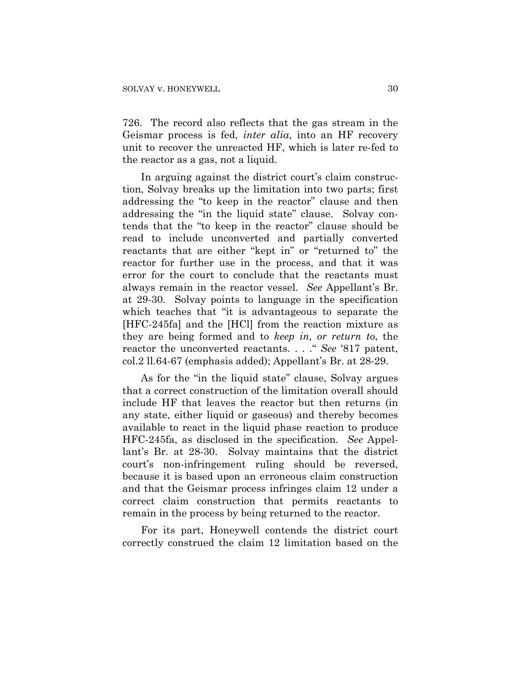726. The record also reflects that the gas stream in the Geismar process is fed, *inter alia*, into an HF recovery unit to recover the unreacted HF, which is later re-fed to the reactor as a gas, not a liquid.

In arguing against the district court's claim construction, Solvay breaks up the limitation into two parts; first addressing the "to keep in the reactor" clause and then addressing the "in the liquid state" clause. Solvay contends that the "to keep in the reactor" clause should be read to include unconverted and partially converted reactants that are either "kept in" or "returned to" the reactor for further use in the process, and that it was error for the court to conclude that the reactants must always remain in the reactor vessel. *See* Appellant's Br. at 29-30. Solvay points to language in the specification which teaches that "it is advantageous to separate the [HFC-245fa] and the [HCl] from the reaction mixture as they are being formed and to *keep in, or return to*, the reactor the unconverted reactants. . . ." *See* '817 patent, col.2 ll.64-67 (emphasis added); Appellant's Br. at 28-29.

As for the "in the liquid state" clause, Solvay argues that a correct construction of the limitation overall should include HF that leaves the reactor but then returns (in any state, either liquid or gaseous) and thereby becomes available to react in the liquid phase reaction to produce HFC-245fa, as disclosed in the specification. *See* Appellant's Br. at 28-30. Solvay maintains that the district court's non-infringement ruling should be reversed, because it is based upon an erroneous claim construction and that the Geismar process infringes claim 12 under a correct claim construction that permits reactants to remain in the process by being returned to the reactor.

For its part, Honeywell contends the district court correctly construed the claim 12 limitation based on the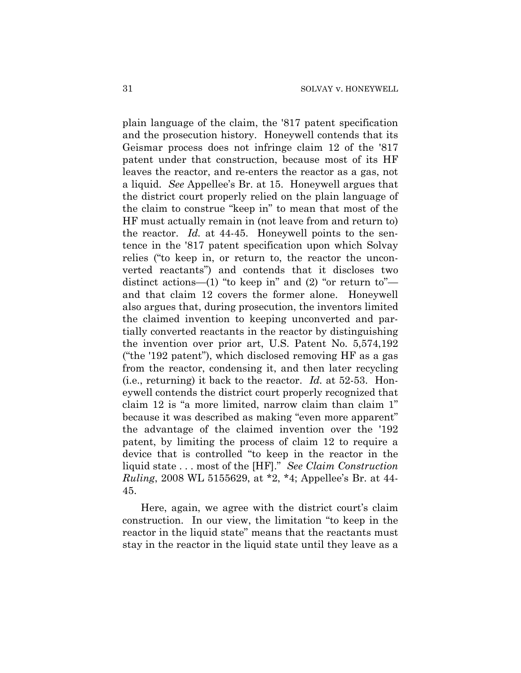plain language of the claim, the '817 patent specification and the prosecution history. Honeywell contends that its Geismar process does not infringe claim 12 of the '817 patent under that construction, because most of its HF leaves the reactor, and re-enters the reactor as a gas, not a liquid. *See* Appellee's Br. at 15. Honeywell argues that the district court properly relied on the plain language of the claim to construe "keep in" to mean that most of the HF must actually remain in (not leave from and return to) the reactor. *Id.* at 44-45. Honeywell points to the sentence in the '817 patent specification upon which Solvay relies ("to keep in, or return to, the reactor the unconverted reactants") and contends that it discloses two distinct actions—(1) "to keep in" and  $(2)$  "or return to" and that claim 12 covers the former alone. Honeywell also argues that, during prosecution, the inventors limited the claimed invention to keeping unconverted and partially converted reactants in the reactor by distinguishing the invention over prior art, U.S. Patent No. 5,574,192 ("the '192 patent"), which disclosed removing HF as a gas from the reactor, condensing it, and then later recycling (i.e., returning) it back to the reactor. *Id.* at 52-53. Honeywell contends the district court properly recognized that claim 12 is "a more limited, narrow claim than claim 1" because it was described as making "even more apparent" the advantage of the claimed invention over the '192 patent, by limiting the process of claim 12 to require a device that is controlled "to keep in the reactor in the liquid state . . . most of the [HF]." *See Claim Construction Ruling*, 2008 WL 5155629, at \*2, \*4; Appellee's Br. at 44- 45.

Here, again, we agree with the district court's claim construction. In our view, the limitation "to keep in the reactor in the liquid state" means that the reactants must stay in the reactor in the liquid state until they leave as a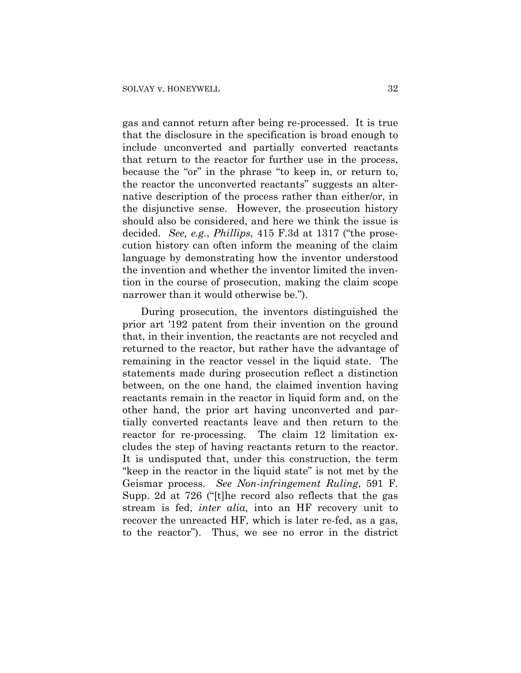gas and cannot return after being re-processed. It is true that the disclosure in the specification is broad enough to include unconverted and partially converted reactants that return to the reactor for further use in the process, because the "or" in the phrase "to keep in, or return to, the reactor the unconverted reactants" suggests an alternative description of the process rather than either/or, in the disjunctive sense. However, the prosecution history should also be considered, and here we think the issue is decided. *See, e.g.*, *Phillips*, 415 F.3d at 1317 ("the prosecution history can often inform the meaning of the claim language by demonstrating how the inventor understood the invention and whether the inventor limited the invention in the course of prosecution, making the claim scope narrower than it would otherwise be.").

During prosecution, the inventors distinguished the prior art '192 patent from their invention on the ground that, in their invention, the reactants are not recycled and returned to the reactor, but rather have the advantage of remaining in the reactor vessel in the liquid state. The statements made during prosecution reflect a distinction between, on the one hand, the claimed invention having reactants remain in the reactor in liquid form and, on the other hand, the prior art having unconverted and partially converted reactants leave and then return to the reactor for re-processing. The claim 12 limitation excludes the step of having reactants return to the reactor. It is undisputed that, under this construction, the term "keep in the reactor in the liquid state" is not met by the Geismar process. *See Non-infringement Ruling*, 591 F. Supp. 2d at 726 ("[t]he record also reflects that the gas stream is fed, *inter alia*, into an HF recovery unit to recover the unreacted HF, which is later re-fed, as a gas, to the reactor"). Thus, we see no error in the district